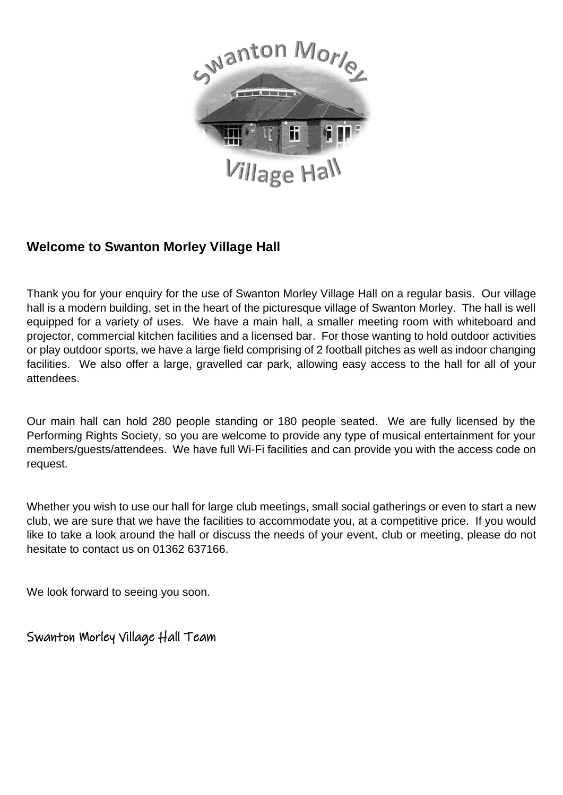

## **Welcome to Swanton Morley Village Hall**

Thank you for your enquiry for the use of Swanton Morley Village Hall on a regular basis. Our village hall is a modern building, set in the heart of the picturesque village of Swanton Morley. The hall is well equipped for a variety of uses. We have a main hall, a smaller meeting room with whiteboard and projector, commercial kitchen facilities and a licensed bar. For those wanting to hold outdoor activities or play outdoor sports, we have a large field comprising of 2 football pitches as well as indoor changing facilities. We also offer a large, gravelled car park, allowing easy access to the hall for all of your attendees.

Our main hall can hold 280 people standing or 180 people seated. We are fully licensed by the Performing Rights Society, so you are welcome to provide any type of musical entertainment for your members/guests/attendees. We have full Wi-Fi facilities and can provide you with the access code on request.

Whether you wish to use our hall for large club meetings, small social gatherings or even to start a new club, we are sure that we have the facilities to accommodate you, at a competitive price. If you would like to take a look around the hall or discuss the needs of your event, club or meeting, please do not hesitate to contact us on 01362 637166.

We look forward to seeing you soon.

Swanton Morley Village Hall Team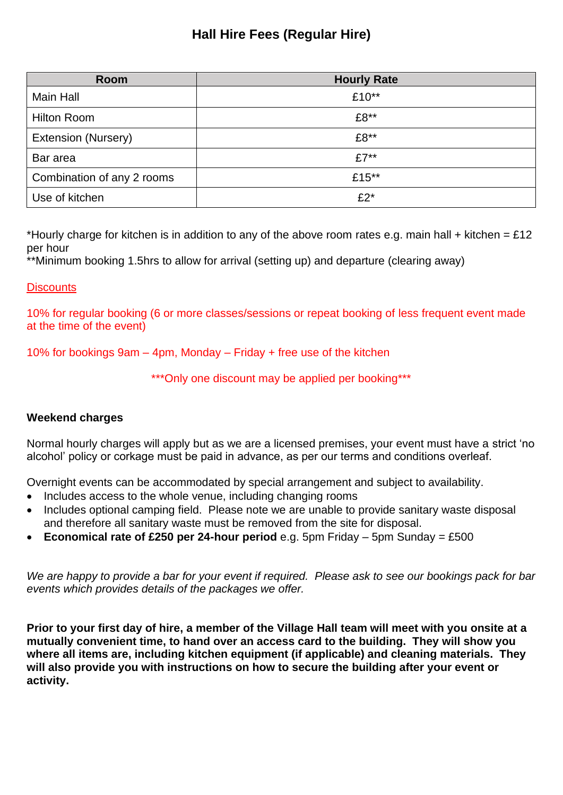## **Hall Hire Fees (Regular Hire)**

| Room                       | <b>Hourly Rate</b> |
|----------------------------|--------------------|
| <b>Main Hall</b>           | £10**              |
| <b>Hilton Room</b>         | £8**               |
| Extension (Nursery)        | £8**               |
| Bar area                   | $£7**$             |
| Combination of any 2 rooms | £15**              |
| Use of kitchen             | $£2*$              |

\*Hourly charge for kitchen is in addition to any of the above room rates e.g. main hall + kitchen = £12 per hour

\*\*Minimum booking 1.5hrs to allow for arrival (setting up) and departure (clearing away)

### **Discounts**

10% for regular booking (6 or more classes/sessions or repeat booking of less frequent event made at the time of the event)

10% for bookings 9am – 4pm, Monday – Friday + free use of the kitchen

\*\*\*Only one discount may be applied per booking\*\*\*

### **Weekend charges**

Normal hourly charges will apply but as we are a licensed premises, your event must have a strict 'no alcohol' policy or corkage must be paid in advance, as per our terms and conditions overleaf.

Overnight events can be accommodated by special arrangement and subject to availability.

- Includes access to the whole venue, including changing rooms
- Includes optional camping field. Please note we are unable to provide sanitary waste disposal and therefore all sanitary waste must be removed from the site for disposal.
- **Economical rate of £250 per 24-hour period** e.g. 5pm Friday 5pm Sunday = £500

*We are happy to provide a bar for your event if required. Please ask to see our bookings pack for bar events which provides details of the packages we offer.*

**Prior to your first day of hire, a member of the Village Hall team will meet with you onsite at a mutually convenient time, to hand over an access card to the building. They will show you where all items are, including kitchen equipment (if applicable) and cleaning materials. They will also provide you with instructions on how to secure the building after your event or activity.**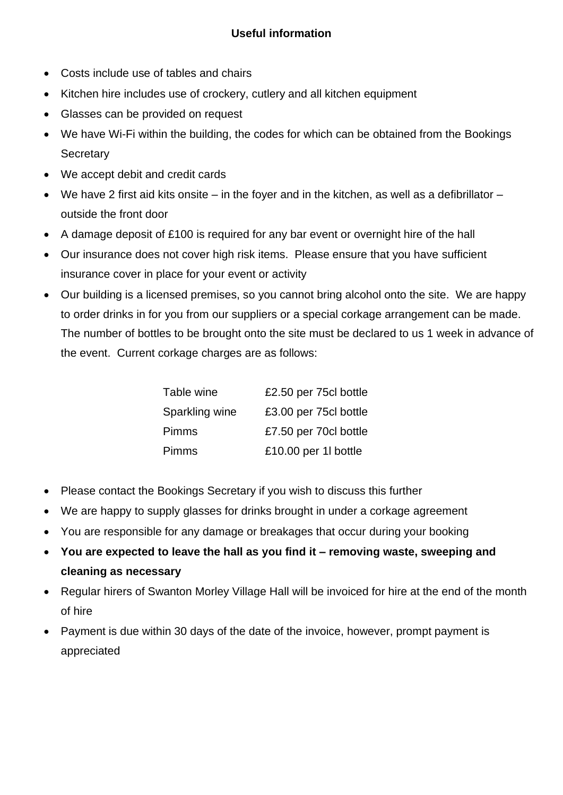- Costs include use of tables and chairs
- Kitchen hire includes use of crockery, cutlery and all kitchen equipment
- Glasses can be provided on request
- We have Wi-Fi within the building, the codes for which can be obtained from the Bookings **Secretary**
- We accept debit and credit cards
- We have 2 first aid kits onsite in the foyer and in the kitchen, as well as a defibrillator outside the front door
- A damage deposit of £100 is required for any bar event or overnight hire of the hall
- Our insurance does not cover high risk items. Please ensure that you have sufficient insurance cover in place for your event or activity
- Our building is a licensed premises, so you cannot bring alcohol onto the site. We are happy to order drinks in for you from our suppliers or a special corkage arrangement can be made. The number of bottles to be brought onto the site must be declared to us 1 week in advance of the event. Current corkage charges are as follows:

| Table wine     | £2.50 per 75cl bottle |
|----------------|-----------------------|
| Sparkling wine | £3.00 per 75cl bottle |
| <b>Pimms</b>   | £7.50 per 70cl bottle |
| <b>Pimms</b>   | £10.00 per 1l bottle  |

- Please contact the Bookings Secretary if you wish to discuss this further
- We are happy to supply glasses for drinks brought in under a corkage agreement
- You are responsible for any damage or breakages that occur during your booking
- **You are expected to leave the hall as you find it – removing waste, sweeping and cleaning as necessary**
- Regular hirers of Swanton Morley Village Hall will be invoiced for hire at the end of the month of hire
- Payment is due within 30 days of the date of the invoice, however, prompt payment is appreciated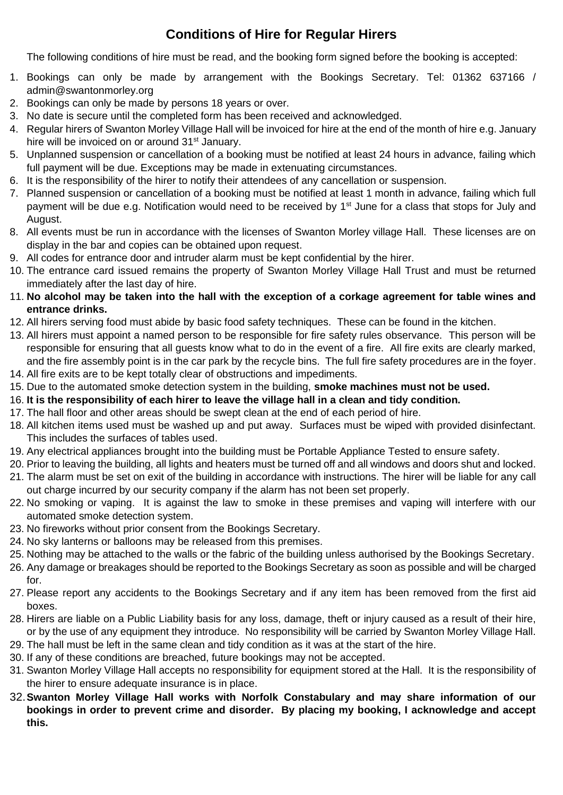## **Conditions of Hire for Regular Hirers**

The following conditions of hire must be read, and the booking form signed before the booking is accepted:

- 1. Bookings can only be made by arrangement with the Bookings Secretary. Tel: 01362 637166 / admin@swantonmorley.org
- 2. Bookings can only be made by persons 18 years or over.
- 3. No date is secure until the completed form has been received and acknowledged.
- 4. Regular hirers of Swanton Morley Village Hall will be invoiced for hire at the end of the month of hire e.g. January hire will be invoiced on or around 31<sup>st</sup> January.
- 5. Unplanned suspension or cancellation of a booking must be notified at least 24 hours in advance, failing which full payment will be due. Exceptions may be made in extenuating circumstances.
- 6. It is the responsibility of the hirer to notify their attendees of any cancellation or suspension.
- 7. Planned suspension or cancellation of a booking must be notified at least 1 month in advance, failing which full payment will be due e.g. Notification would need to be received by 1<sup>st</sup> June for a class that stops for July and August.
- 8. All events must be run in accordance with the licenses of Swanton Morley village Hall. These licenses are on display in the bar and copies can be obtained upon request.
- 9. All codes for entrance door and intruder alarm must be kept confidential by the hirer.
- 10. The entrance card issued remains the property of Swanton Morley Village Hall Trust and must be returned immediately after the last day of hire.
- 11. **No alcohol may be taken into the hall with the exception of a corkage agreement for table wines and entrance drinks.**
- 12. All hirers serving food must abide by basic food safety techniques. These can be found in the kitchen.
- 13. All hirers must appoint a named person to be responsible for fire safety rules observance. This person will be responsible for ensuring that all guests know what to do in the event of a fire. All fire exits are clearly marked, and the fire assembly point is in the car park by the recycle bins. The full fire safety procedures are in the foyer.
- 14. All fire exits are to be kept totally clear of obstructions and impediments.
- 15. Due to the automated smoke detection system in the building, **smoke machines must not be used.**
- 16. **It is the responsibility of each hirer to leave the village hall in a clean and tidy condition.**
- 17. The hall floor and other areas should be swept clean at the end of each period of hire.
- 18. All kitchen items used must be washed up and put away. Surfaces must be wiped with provided disinfectant. This includes the surfaces of tables used.
- 19. Any electrical appliances brought into the building must be Portable Appliance Tested to ensure safety.
- 20. Prior to leaving the building, all lights and heaters must be turned off and all windows and doors shut and locked.
- 21. The alarm must be set on exit of the building in accordance with instructions. The hirer will be liable for any call out charge incurred by our security company if the alarm has not been set properly.
- 22. No smoking or vaping. It is against the law to smoke in these premises and vaping will interfere with our automated smoke detection system.
- 23. No fireworks without prior consent from the Bookings Secretary.
- 24. No sky lanterns or balloons may be released from this premises.
- 25. Nothing may be attached to the walls or the fabric of the building unless authorised by the Bookings Secretary.
- 26. Any damage or breakages should be reported to the Bookings Secretary as soon as possible and will be charged for.
- 27. Please report any accidents to the Bookings Secretary and if any item has been removed from the first aid boxes.
- 28. Hirers are liable on a Public Liability basis for any loss, damage, theft or injury caused as a result of their hire, or by the use of any equipment they introduce. No responsibility will be carried by Swanton Morley Village Hall.
- 29. The hall must be left in the same clean and tidy condition as it was at the start of the hire.
- 30. If any of these conditions are breached, future bookings may not be accepted.
- 31. Swanton Morley Village Hall accepts no responsibility for equipment stored at the Hall. It is the responsibility of the hirer to ensure adequate insurance is in place.
- 32.**Swanton Morley Village Hall works with Norfolk Constabulary and may share information of our bookings in order to prevent crime and disorder. By placing my booking, I acknowledge and accept this.**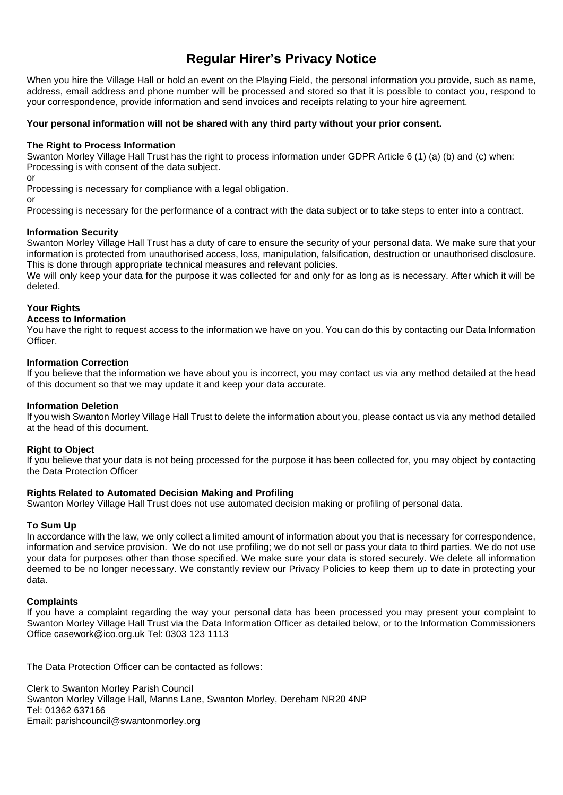## **Regular Hirer's Privacy Notice**

When you hire the Village Hall or hold an event on the Playing Field, the personal information you provide, such as name, address, email address and phone number will be processed and stored so that it is possible to contact you, respond to your correspondence, provide information and send invoices and receipts relating to your hire agreement.

#### **Your personal information will not be shared with any third party without your prior consent.**

#### **The Right to Process Information**

Swanton Morley Village Hall Trust has the right to process information under GDPR Article 6 (1) (a) (b) and (c) when: Processing is with consent of the data subject.

or

Processing is necessary for compliance with a legal obligation.

or

Processing is necessary for the performance of a contract with the data subject or to take steps to enter into a contract.

#### **Information Security**

Swanton Morley Village Hall Trust has a duty of care to ensure the security of your personal data. We make sure that your information is protected from unauthorised access, loss, manipulation, falsification, destruction or unauthorised disclosure. This is done through appropriate technical measures and relevant policies.

We will only keep your data for the purpose it was collected for and only for as long as is necessary. After which it will be deleted.

#### **Your Rights**

#### **Access to Information**

You have the right to request access to the information we have on you. You can do this by contacting our Data Information **Officer** 

#### **Information Correction**

If you believe that the information we have about you is incorrect, you may contact us via any method detailed at the head of this document so that we may update it and keep your data accurate.

#### **Information Deletion**

If you wish Swanton Morley Village Hall Trust to delete the information about you, please contact us via any method detailed at the head of this document.

#### **Right to Object**

If you believe that your data is not being processed for the purpose it has been collected for, you may object by contacting the Data Protection Officer

#### **Rights Related to Automated Decision Making and Profiling**

Swanton Morley Village Hall Trust does not use automated decision making or profiling of personal data.

#### **To Sum Up**

In accordance with the law, we only collect a limited amount of information about you that is necessary for correspondence, information and service provision. We do not use profiling; we do not sell or pass your data to third parties. We do not use your data for purposes other than those specified. We make sure your data is stored securely. We delete all information deemed to be no longer necessary. We constantly review our Privacy Policies to keep them up to date in protecting your data.

#### **Complaints**

If you have a complaint regarding the way your personal data has been processed you may present your complaint to Swanton Morley Village Hall Trust via the Data Information Officer as detailed below, or to the Information Commissioners Office casework@ico.org.uk Tel: 0303 123 1113

The Data Protection Officer can be contacted as follows:

Clerk to Swanton Morley Parish Council Swanton Morley Village Hall, Manns Lane, Swanton Morley, Dereham NR20 4NP Tel: 01362 637166 Email: parishcouncil@swantonmorley.org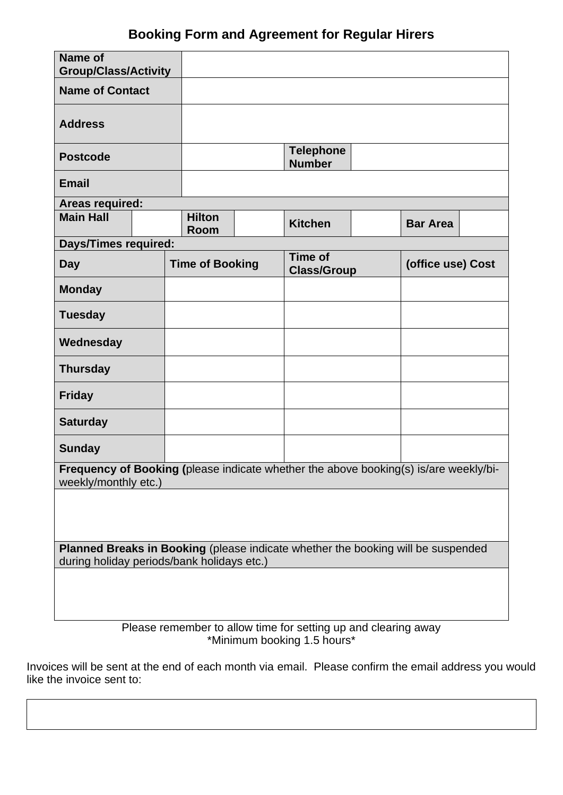# **Booking Form and Agreement for Regular Hirers**

| Name of<br><b>Group/Class/Activity</b>                                                                                         |  |  |                              |                                   |                                      |  |                   |  |
|--------------------------------------------------------------------------------------------------------------------------------|--|--|------------------------------|-----------------------------------|--------------------------------------|--|-------------------|--|
| <b>Name of Contact</b>                                                                                                         |  |  |                              |                                   |                                      |  |                   |  |
| <b>Address</b>                                                                                                                 |  |  |                              |                                   |                                      |  |                   |  |
| <b>Postcode</b>                                                                                                                |  |  |                              | <b>Telephone</b><br><b>Number</b> |                                      |  |                   |  |
| <b>Email</b>                                                                                                                   |  |  |                              |                                   |                                      |  |                   |  |
| Areas required:                                                                                                                |  |  |                              |                                   |                                      |  |                   |  |
| <b>Main Hall</b>                                                                                                               |  |  | <b>Hilton</b><br><b>Room</b> |                                   | <b>Kitchen</b>                       |  | <b>Bar Area</b>   |  |
| <b>Days/Times required:</b>                                                                                                    |  |  |                              |                                   |                                      |  |                   |  |
| <b>Day</b>                                                                                                                     |  |  | <b>Time of Booking</b>       |                                   | <b>Time of</b><br><b>Class/Group</b> |  | (office use) Cost |  |
| <b>Monday</b>                                                                                                                  |  |  |                              |                                   |                                      |  |                   |  |
| <b>Tuesday</b>                                                                                                                 |  |  |                              |                                   |                                      |  |                   |  |
| Wednesday                                                                                                                      |  |  |                              |                                   |                                      |  |                   |  |
| <b>Thursday</b>                                                                                                                |  |  |                              |                                   |                                      |  |                   |  |
| <b>Friday</b>                                                                                                                  |  |  |                              |                                   |                                      |  |                   |  |
| <b>Saturday</b>                                                                                                                |  |  |                              |                                   |                                      |  |                   |  |
| <b>Sunday</b>                                                                                                                  |  |  |                              |                                   |                                      |  |                   |  |
| Frequency of Booking (please indicate whether the above booking(s) is/are weekly/bi-<br>weekly/monthly etc.)                   |  |  |                              |                                   |                                      |  |                   |  |
|                                                                                                                                |  |  |                              |                                   |                                      |  |                   |  |
| Planned Breaks in Booking (please indicate whether the booking will be suspended<br>during holiday periods/bank holidays etc.) |  |  |                              |                                   |                                      |  |                   |  |
|                                                                                                                                |  |  |                              |                                   |                                      |  |                   |  |

Please remember to allow time for setting up and clearing away \*Minimum booking 1.5 hours\*

Invoices will be sent at the end of each month via email. Please confirm the email address you would like the invoice sent to: